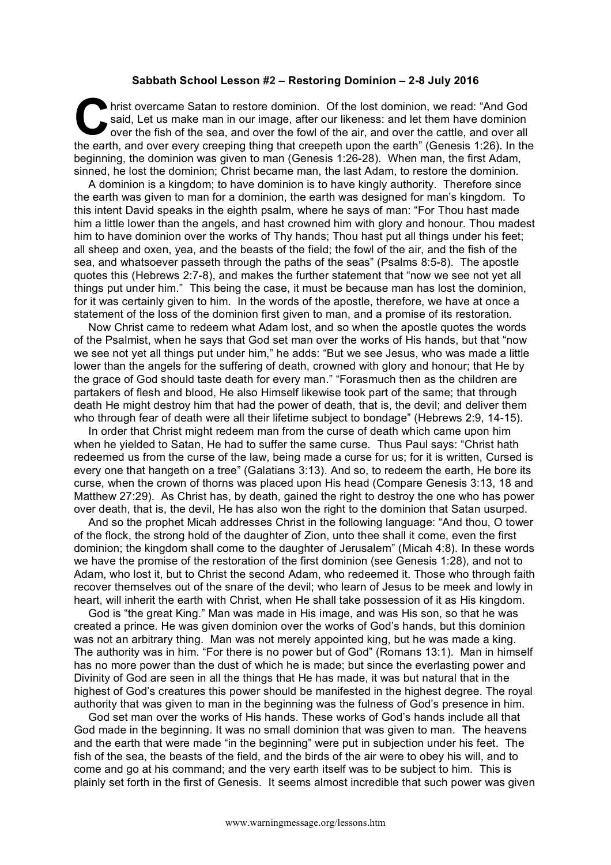## **Sabbath School Lesson #2 – Restoring Dominion – 2-8 July 2016**

hrist overcame Satan to restore dominion. Of the lost dominion, we read: "And God said, Let us make man in our image, after our likeness: and let them have dominion over the fish of the sea, and over the fowl of the air, and over the cattle, and over all the earth, and over every creeping thing that creepeth upon the earth" (Genesis 1:26). In the beginning, the dominion was given to man (Genesis 1:26-28). When man, the first Adam, sinned, he lost the dominion; Christ became man, the last Adam, to restore the dominion. C sai

A dominion is a kingdom; to have dominion is to have kingly authority. Therefore since the earth was given to man for a dominion, the earth was designed for man's kingdom. To this intent David speaks in the eighth psalm, where he says of man: "For Thou hast made him a little lower than the angels, and hast crowned him with glory and honour. Thou madest him to have dominion over the works of Thy hands; Thou hast put all things under his feet; all sheep and oxen, yea, and the beasts of the field; the fowl of the air, and the fish of the sea, and whatsoever passeth through the paths of the seas" (Psalms 8:5-8). The apostle quotes this (Hebrews 2:7-8), and makes the further statement that "now we see not yet all things put under him." This being the case, it must be because man has lost the dominion, for it was certainly given to him. In the words of the apostle, therefore, we have at once a statement of the loss of the dominion first given to man, and a promise of its restoration.

Now Christ came to redeem what Adam lost, and so when the apostle quotes the words of the Psalmist, when he says that God set man over the works of His hands, but that "now we see not yet all things put under him," he adds: "But we see Jesus, who was made a little lower than the angels for the suffering of death, crowned with glory and honour; that He by the grace of God should taste death for every man." "Forasmuch then as the children are partakers of flesh and blood, He also Himself likewise took part of the same; that through death He might destroy him that had the power of death, that is, the devil; and deliver them who through fear of death were all their lifetime subject to bondage" (Hebrews 2:9, 14-15).

In order that Christ might redeem man from the curse of death which came upon him when he yielded to Satan, He had to suffer the same curse. Thus Paul says: "Christ hath redeemed us from the curse of the law, being made a curse for us; for it is written, Cursed is every one that hangeth on a tree" (Galatians 3:13). And so, to redeem the earth, He bore its curse, when the crown of thorns was placed upon His head (Compare Genesis 3:13, 18 and Matthew 27:29). As Christ has, by death, gained the right to destroy the one who has power over death, that is, the devil, He has also won the right to the dominion that Satan usurped.

And so the prophet Micah addresses Christ in the following language: "And thou, O tower of the flock, the strong hold of the daughter of Zion, unto thee shall it come, even the first dominion; the kingdom shall come to the daughter of Jerusalem" (Micah 4:8). In these words we have the promise of the restoration of the first dominion (see Genesis 1:28), and not to Adam, who lost it, but to Christ the second Adam, who redeemed it. Those who through faith recover themselves out of the snare of the devil; who learn of Jesus to be meek and lowly in heart, will inherit the earth with Christ, when He shall take possession of it as His kingdom.

God is "the great King." Man was made in His image, and was His son, so that he was created a prince. He was given dominion over the works of God's hands, but this dominion was not an arbitrary thing. Man was not merely appointed king, but he was made a king. The authority was in him. "For there is no power but of God" (Romans 13:1). Man in himself has no more power than the dust of which he is made; but since the everlasting power and Divinity of God are seen in all the things that He has made, it was but natural that in the highest of God's creatures this power should be manifested in the highest degree. The royal authority that was given to man in the beginning was the fulness of God's presence in him.

God set man over the works of His hands. These works of God's hands include all that God made in the beginning. It was no small dominion that was given to man. The heavens and the earth that were made "in the beginning" were put in subjection under his feet. The fish of the sea, the beasts of the field, and the birds of the air were to obey his will, and to come and go at his command; and the very earth itself was to be subject to him. This is plainly set forth in the first of Genesis. It seems almost incredible that such power was given